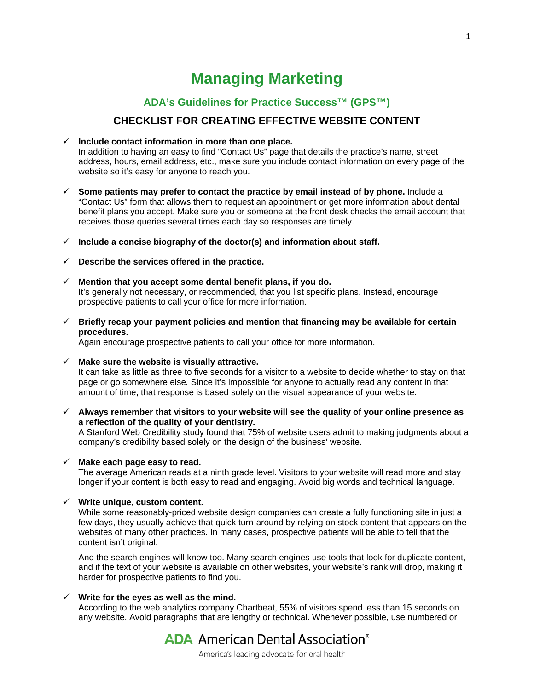# **Managing Marketing**

## **ADA's Guidelines for Practice Success™ (GPS™)**

### **CHECKLIST FOR CREATING EFFECTIVE WEBSITE CONTENT**

#### **Include contact information in more than one place.**

In addition to having an easy to find "Contact Us" page that details the practice's name, street address, hours, email address, etc., make sure you include contact information on every page of the website so it's easy for anyone to reach you.

- **Some patients may prefer to contact the practice by email instead of by phone.** Include a "Contact Us" form that allows them to request an appointment or get more information about dental benefit plans you accept. Make sure you or someone at the front desk checks the email account that receives those queries several times each day so responses are timely.
- **Include a concise biography of the doctor(s) and information about staff.**
- **Describe the services offered in the practice.**
- **Mention that you accept some dental benefit plans, if you do.**  It's generally not necessary, or recommended, that you list specific plans. Instead, encourage prospective patients to call your office for more information.
- **Briefly recap your payment policies and mention that financing may be available for certain procedures.**

Again encourage prospective patients to call your office for more information.

**Make sure the website is visually attractive.**

It can take as little as three to five seconds for a visitor to a website to decide whether to stay on that page or go somewhere else*.* Since it's impossible for anyone to actually read any content in that amount of time, that response is based solely on the visual appearance of your website.

 **Always remember that visitors to your website will see the quality of your online presence as a reflection of the quality of your dentistry.** 

A Stanford Web Credibility study found that 75% of website users admit to making judgments about a company's credibility based solely on the design of the business' website.

#### **Make each page easy to read.**

The average American reads at a ninth grade level. Visitors to your website will read more and stay longer if your content is both easy to read and engaging. Avoid big words and technical language.

#### **Write unique, custom content.**

While some reasonably-priced website design companies can create a fully functioning site in just a few days, they usually achieve that quick turn-around by relying on stock content that appears on the websites of many other practices. In many cases, prospective patients will be able to tell that the content isn't original.

And the search engines will know too. Many search engines use tools that look for duplicate content, and if the text of your website is available on other websites, your website's rank will drop, making it harder for prospective patients to find you.

### **Write for the eyes as well as the mind.**

According to the web analytics company Chartbeat, 55% of visitors spend less than 15 seconds on any website. Avoid paragraphs that are lengthy or technical. Whenever possible, use numbered or

# **ADA** American Dental Association<sup>®</sup>

America's leading advocate for oral health